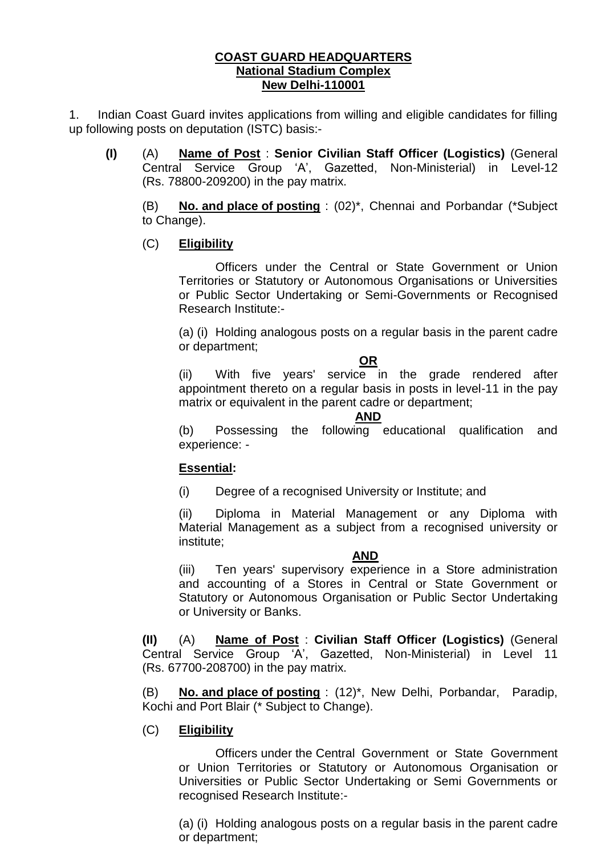#### **COAST GUARD HEADQUARTERS National Stadium Complex New Delhi-110001**

1. Indian Coast Guard invites applications from willing and eligible candidates for filling up following posts on deputation (ISTC) basis:-

**(I)** (A) **Name of Post** : **Senior Civilian Staff Officer (Logistics)** (General Central Service Group 'A', Gazetted, Non-Ministerial) in Level-12 (Rs. 78800-209200) in the pay matrix.

(B) **No. and place of posting** : (02)\*, Chennai and Porbandar (\*Subject to Change).

# (C) **Eligibility**

Officers under the Central or State Government or Union Territories or Statutory or Autonomous Organisations or Universities or Public Sector Undertaking or Semi-Governments or Recognised Research Institute:-

(a) (i) Holding analogous posts on a regular basis in the parent cadre or department;

#### **OR**

(ii) With five years' service in the grade rendered after appointment thereto on a regular basis in posts in level-11 in the pay matrix or equivalent in the parent cadre or department;

#### **AND**

(b) Possessing the following educational qualification and experience: -

# **Essential:**

(i) Degree of a recognised University or Institute; and

(ii) Diploma in Material Management or any Diploma with Material Management as a subject from a recognised university or institute;

# **AND**

(iii) Ten years' supervisory experience in a Store administration and accounting of a Stores in Central or State Government or Statutory or Autonomous Organisation or Public Sector Undertaking or University or Banks.

**(II)** (A) **Name of Post** : **Civilian Staff Officer (Logistics)** (General Central Service Group 'A', Gazetted, Non-Ministerial) in Level 11 (Rs. 67700-208700) in the pay matrix.

(B) **No. and place of posting** : (12)\*, New Delhi, Porbandar, Paradip, Kochi and Port Blair (\* Subject to Change).

# (C) **Eligibility**

Officers under the Central Government or State Government or Union Territories or Statutory or Autonomous Organisation or Universities or Public Sector Undertaking or Semi Governments or recognised Research Institute:-

(a) (i) Holding analogous posts on a regular basis in the parent cadre or department;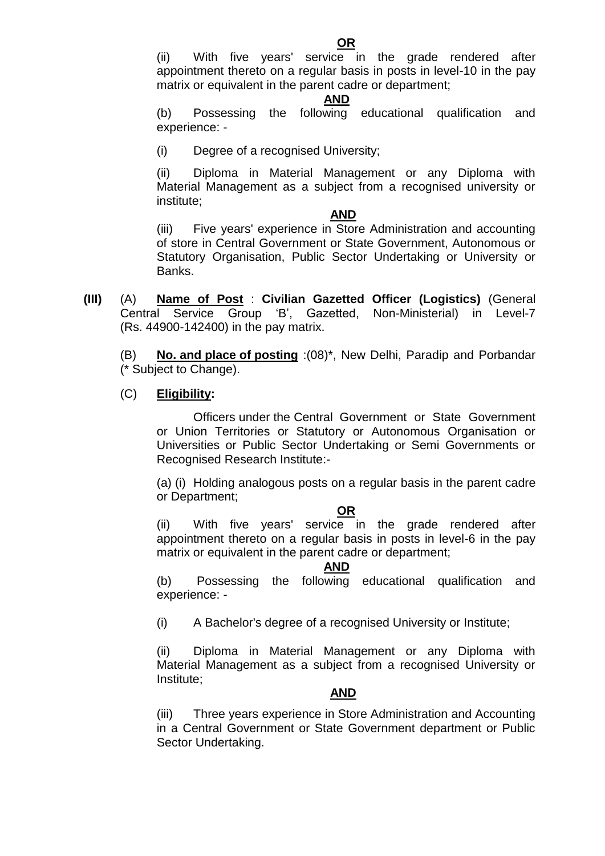(ii) With five years' service in the grade rendered after appointment thereto on a regular basis in posts in level-10 in the pay matrix or equivalent in the parent cadre or department;

#### **AND**

(b) Possessing the following educational qualification and experience: -

(i) Degree of a recognised University;

(ii) Diploma in Material Management or any Diploma with Material Management as a subject from a recognised university or institute;

#### **AND**

(iii) Five years' experience in Store Administration and accounting of store in Central Government or State Government, Autonomous or Statutory Organisation, Public Sector Undertaking or University or Banks.

**(III)** (A) **Name of Post** : **Civilian Gazetted Officer (Logistics)** (General Central Service Group 'B', Gazetted, Non-Ministerial) in Level-7 (Rs. 44900-142400) in the pay matrix.

(B) **No. and place of posting** :(08)\*, New Delhi, Paradip and Porbandar (\* Subject to Change).

# (C) **Eligibility:**

Officers under the Central Government or State Government or Union Territories or Statutory or Autonomous Organisation or Universities or Public Sector Undertaking or Semi Governments or Recognised Research Institute:-

(a) (i) Holding analogous posts on a regular basis in the parent cadre or Department;

# **OR**

(ii) With five years' service in the grade rendered after appointment thereto on a regular basis in posts in level-6 in the pay matrix or equivalent in the parent cadre or department;

#### **AND**

(b) Possessing the following educational qualification and experience: -

(i) A Bachelor's degree of a recognised University or Institute;

(ii) Diploma in Material Management or any Diploma with Material Management as a subject from a recognised University or Institute;

# **AND**

(iii) Three years experience in Store Administration and Accounting in a Central Government or State Government department or Public Sector Undertaking.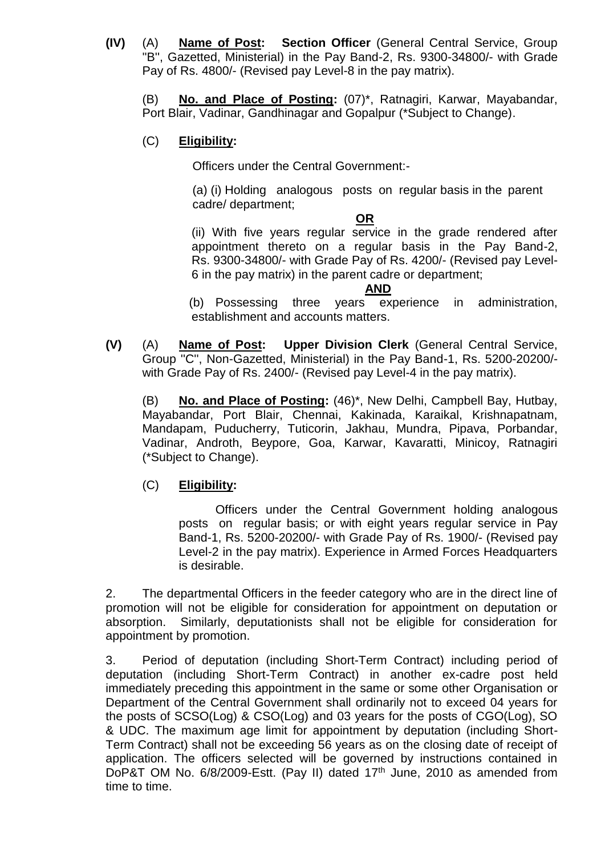**(IV)** (A) **Name of Post: Section Officer** (General Central Service, Group ''B'', Gazetted, Ministerial) in the Pay Band-2, Rs. 9300-34800/- with Grade Pay of Rs. 4800/- (Revised pay Level-8 in the pay matrix).

(B) **No. and Place of Posting:** (07)\*, Ratnagiri, Karwar, Mayabandar, Port Blair, Vadinar, Gandhinagar and Gopalpur (\*Subject to Change).

# (C) **Eligibility:**

Officers under the Central Government:-

 (a) (i) Holding analogous posts on regular basis in the parent cadre/ department;

#### **OR**

(ii) With five years regular service in the grade rendered after appointment thereto on a regular basis in the Pay Band-2, Rs. 9300-34800/- with Grade Pay of Rs. 4200/- (Revised pay Level-6 in the pay matrix) in the parent cadre or department;

#### **AND**

 (b) Possessing three years experience in administration, establishment and accounts matters.

**(V)** (A) **Name of Post: Upper Division Clerk** (General Central Service, Group ''C'', Non-Gazetted, Ministerial) in the Pay Band-1, Rs. 5200-20200/ with Grade Pay of Rs. 2400/- (Revised pay Level-4 in the pay matrix).

(B) **No. and Place of Posting:** (46)\*, New Delhi, Campbell Bay, Hutbay, Mayabandar, Port Blair, Chennai, Kakinada, Karaikal, Krishnapatnam, Mandapam, Puducherry, Tuticorin, Jakhau, Mundra, Pipava, Porbandar, Vadinar, Androth, Beypore, Goa, Karwar, Kavaratti, Minicoy, Ratnagiri (\*Subject to Change).

# (C) **Eligibility:**

Officers under the Central Government holding analogous posts on regular basis; or with eight years regular service in Pay Band-1, Rs. 5200-20200/- with Grade Pay of Rs. 1900/- (Revised pay Level-2 in the pay matrix). Experience in Armed Forces Headquarters is desirable.

2. The departmental Officers in the feeder category who are in the direct line of promotion will not be eligible for consideration for appointment on deputation or absorption. Similarly, deputationists shall not be eligible for consideration for appointment by promotion.

3. Period of deputation (including Short-Term Contract) including period of deputation (including Short-Term Contract) in another ex-cadre post held immediately preceding this appointment in the same or some other Organisation or Department of the Central Government shall ordinarily not to exceed 04 years for the posts of SCSO(Log) & CSO(Log) and 03 years for the posts of CGO(Log), SO & UDC. The maximum age limit for appointment by deputation (including Short-Term Contract) shall not be exceeding 56 years as on the closing date of receipt of application. The officers selected will be governed by instructions contained in DoP&T OM No. 6/8/2009-Estt. (Pay II) dated 17<sup>th</sup> June, 2010 as amended from time to time.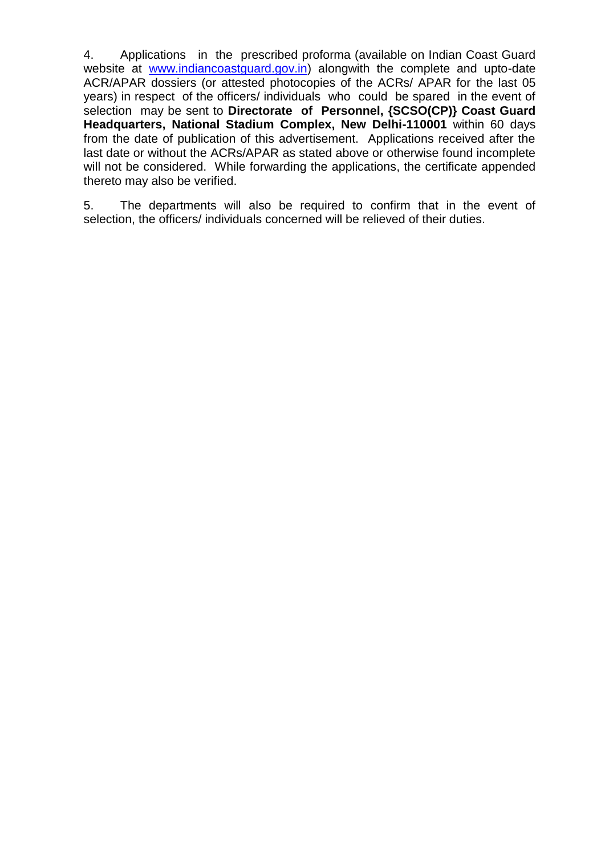4. Applications in the prescribed proforma (available on Indian Coast Guard website at [www.indiancoastguard.gov.in\)](http://www.indiancoastguard.gov.in/) alongwith the complete and upto-date ACR/APAR dossiers (or attested photocopies of the ACRs/ APAR for the last 05 years) in respect of the officers/ individuals who could be spared in the event of selection may be sent to **Directorate of Personnel, {SCSO(CP)} Coast Guard Headquarters, National Stadium Complex, New Delhi-110001** within 60 days from the date of publication of this advertisement. Applications received after the last date or without the ACRs/APAR as stated above or otherwise found incomplete will not be considered. While forwarding the applications, the certificate appended thereto may also be verified.

5. The departments will also be required to confirm that in the event of selection, the officers/ individuals concerned will be relieved of their duties.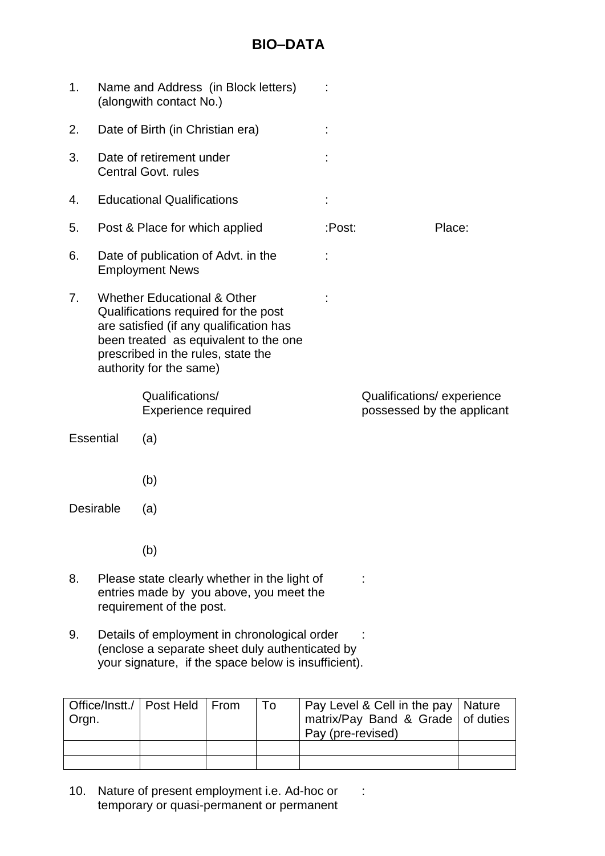# **BIO–DATA**

| 1.                                                                                                                        |                                                                                                                                                                                                                                     | Name and Address (in Block letters)<br>(alongwith contact No.) |        |  |                                                         |
|---------------------------------------------------------------------------------------------------------------------------|-------------------------------------------------------------------------------------------------------------------------------------------------------------------------------------------------------------------------------------|----------------------------------------------------------------|--------|--|---------------------------------------------------------|
| 2.                                                                                                                        |                                                                                                                                                                                                                                     | Date of Birth (in Christian era)                               |        |  |                                                         |
| 3.                                                                                                                        |                                                                                                                                                                                                                                     | Date of retirement under<br><b>Central Govt. rules</b>         |        |  |                                                         |
| 4.                                                                                                                        |                                                                                                                                                                                                                                     | <b>Educational Qualifications</b>                              | ÷      |  |                                                         |
| 5.                                                                                                                        | Post & Place for which applied                                                                                                                                                                                                      |                                                                | :Post: |  | Place:                                                  |
| 6.                                                                                                                        |                                                                                                                                                                                                                                     | Date of publication of Advt. in the<br><b>Employment News</b>  |        |  |                                                         |
| 7.                                                                                                                        | <b>Whether Educational &amp; Other</b><br>Qualifications required for the post<br>are satisfied (if any qualification has<br>been treated as equivalent to the one<br>prescribed in the rules, state the<br>authority for the same) |                                                                |        |  |                                                         |
|                                                                                                                           |                                                                                                                                                                                                                                     | Qualifications/<br><b>Experience required</b>                  |        |  | Qualifications/experience<br>possessed by the applicant |
| <b>Essential</b>                                                                                                          |                                                                                                                                                                                                                                     | (a)                                                            |        |  |                                                         |
|                                                                                                                           |                                                                                                                                                                                                                                     | (b)                                                            |        |  |                                                         |
| <b>Desirable</b>                                                                                                          |                                                                                                                                                                                                                                     | (a)                                                            |        |  |                                                         |
|                                                                                                                           |                                                                                                                                                                                                                                     | (b)                                                            |        |  |                                                         |
| 8.<br>Please state clearly whether in the light of<br>entries made by you above, you meet the<br>requirement of the post. |                                                                                                                                                                                                                                     |                                                                |        |  |                                                         |

9. Details of employment in chronological order : (enclose a separate sheet duly authenticated by your signature, if the space below is insufficient).

| Office/Instt./   Post Held   From<br>Orgn. |  | To | Pay Level & Cell in the pay   Nature<br>matrix/Pay Band & Grade   of duties<br>Pay (pre-revised) |  |
|--------------------------------------------|--|----|--------------------------------------------------------------------------------------------------|--|
|                                            |  |    |                                                                                                  |  |
|                                            |  |    |                                                                                                  |  |

10. Nature of present employment i.e. Ad-hoc or : temporary or quasi-permanent or permanent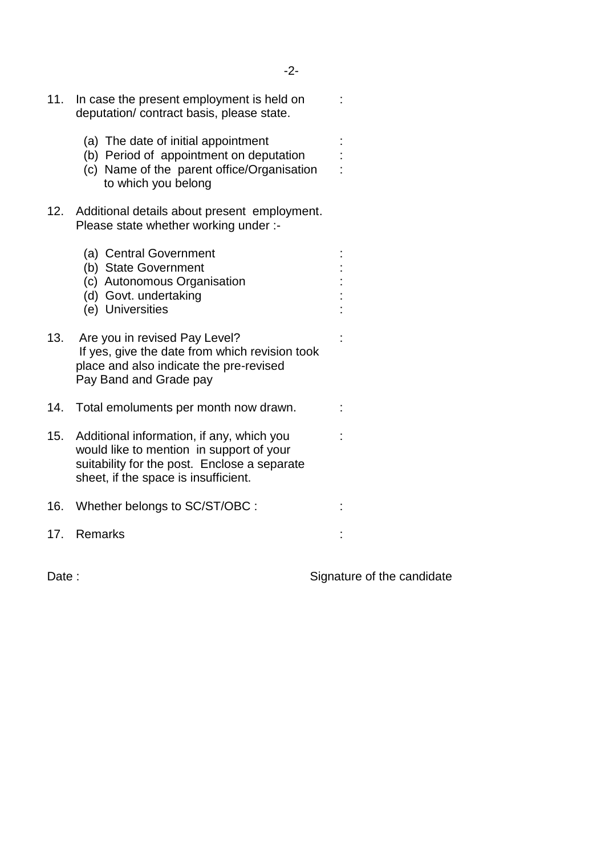| 11. | In case the present employment is held on<br>deputation/ contract basis, please state.                                                                                        |  |
|-----|-------------------------------------------------------------------------------------------------------------------------------------------------------------------------------|--|
|     | (a) The date of initial appointment<br>(b) Period of appointment on deputation<br>(c) Name of the parent office/Organisation<br>to which you belong                           |  |
| 12. | Additional details about present employment.<br>Please state whether working under :-                                                                                         |  |
|     | (a) Central Government<br>(b) State Government<br>(c) Autonomous Organisation<br>(d) Govt. undertaking<br>(e) Universities                                                    |  |
| 13. | Are you in revised Pay Level?<br>If yes, give the date from which revision took<br>place and also indicate the pre-revised<br>Pay Band and Grade pay                          |  |
| 14. | Total emoluments per month now drawn.                                                                                                                                         |  |
| 15. | Additional information, if any, which you<br>would like to mention in support of your<br>suitability for the post. Enclose a separate<br>sheet, if the space is insufficient. |  |
| 16. | Whether belongs to SC/ST/OBC :                                                                                                                                                |  |
| 17. | <b>Remarks</b>                                                                                                                                                                |  |

Date : Signature of the candidate